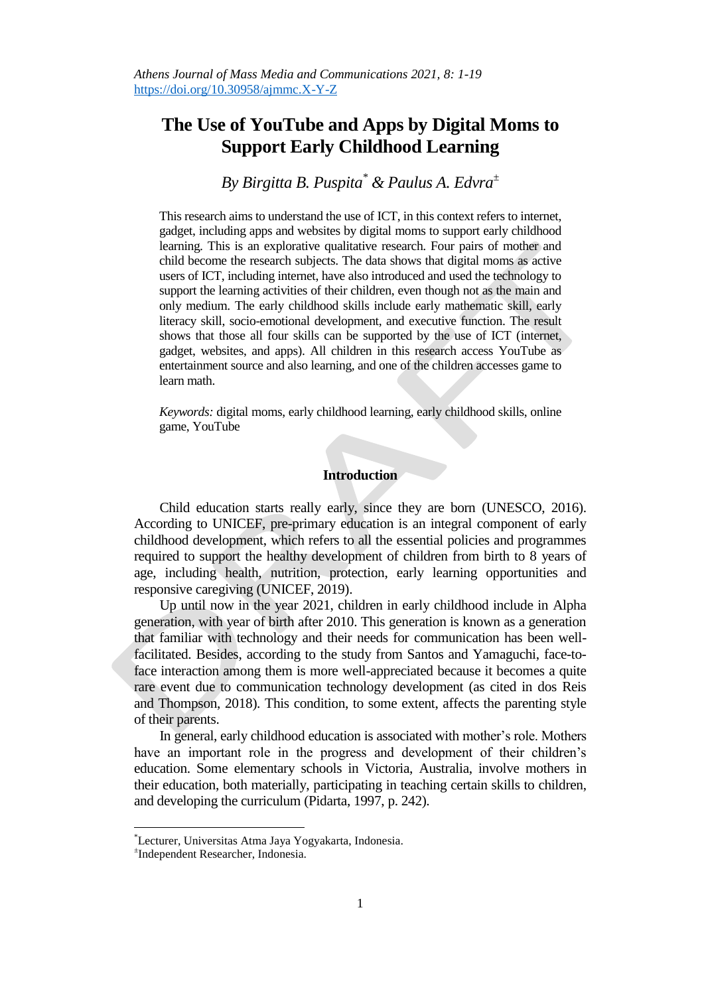# **The Use of YouTube and Apps by Digital Moms to Support Early Childhood Learning**

*By Birgitta B. Puspita\* & Paulus A. Edvra<sup>±</sup>*

This research aims to understand the use of ICT, in this context refers to internet, gadget, including apps and websites by digital moms to support early childhood learning. This is an explorative qualitative research. Four pairs of mother and child become the research subjects. The data shows that digital moms as active users of ICT, including internet, have also introduced and used the technology to support the learning activities of their children, even though not as the main and only medium. The early childhood skills include early mathematic skill, early literacy skill, socio-emotional development, and executive function. The result shows that those all four skills can be supported by the use of ICT (internet, gadget, websites, and apps). All children in this research access YouTube as entertainment source and also learning, and one of the children accesses game to learn math.

*Keywords:* digital moms, early childhood learning, early childhood skills, online game, YouTube

## **Introduction**

Child education starts really early, since they are born (UNESCO, 2016). According to UNICEF, pre-primary education is an integral component of early childhood development, which refers to all the essential policies and programmes required to support the healthy development of children from birth to 8 years of age, including health, nutrition, protection, early learning opportunities and responsive caregiving (UNICEF, 2019).

Up until now in the year 2021, children in early childhood include in Alpha generation, with year of birth after 2010. This generation is known as a generation that familiar with technology and their needs for communication has been wellfacilitated. Besides, according to the study from Santos and Yamaguchi, face-toface interaction among them is more well-appreciated because it becomes a quite rare event due to communication technology development (as cited in dos Reis and Thompson, 2018). This condition, to some extent, affects the parenting style of their parents.

In general, early childhood education is associated with mother"s role. Mothers have an important role in the progress and development of their children's education. Some elementary schools in Victoria, Australia, involve mothers in their education, both materially, participating in teaching certain skills to children, and developing the curriculum (Pidarta, 1997, p. 242).

 $\overline{a}$ 

<sup>\*</sup>Lecturer, Universitas Atma Jaya Yogyakarta, Indonesia.

<sup>±</sup> Independent Researcher, Indonesia.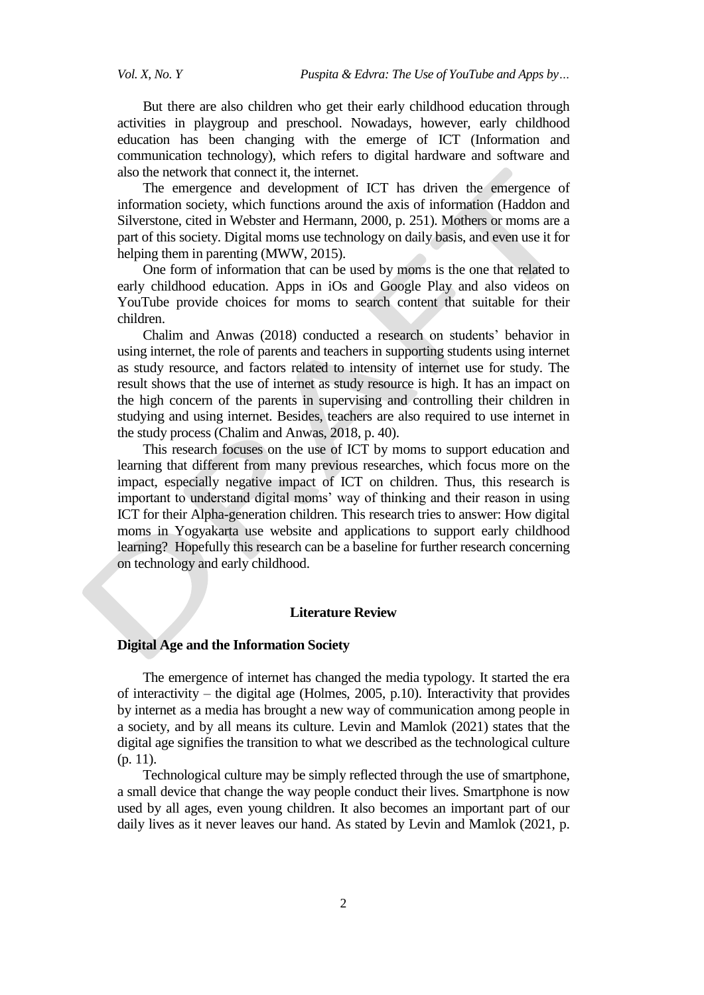But there are also children who get their early childhood education through activities in playgroup and preschool. Nowadays, however, early childhood education has been changing with the emerge of ICT (Information and communication technology), which refers to digital hardware and software and also the network that connect it, the internet.

The emergence and development of ICT has driven the emergence of information society, which functions around the axis of information (Haddon and Silverstone, cited in Webster and Hermann, 2000, p. 251). Mothers or moms are a part of this society. Digital moms use technology on daily basis, and even use it for helping them in parenting (MWW, 2015).

One form of information that can be used by moms is the one that related to early childhood education. Apps in iOs and Google Play and also videos on YouTube provide choices for moms to search content that suitable for their children.

Chalim and Anwas (2018) conducted a research on students" behavior in using internet, the role of parents and teachers in supporting students using internet as study resource, and factors related to intensity of internet use for study. The result shows that the use of internet as study resource is high. It has an impact on the high concern of the parents in supervising and controlling their children in studying and using internet. Besides, teachers are also required to use internet in the study process (Chalim and Anwas, 2018, p. 40).

This research focuses on the use of ICT by moms to support education and learning that different from many previous researches, which focus more on the impact, especially negative impact of ICT on children. Thus, this research is important to understand digital moms' way of thinking and their reason in using ICT for their Alpha-generation children. This research tries to answer: How digital moms in Yogyakarta use website and applications to support early childhood learning? Hopefully this research can be a baseline for further research concerning on technology and early childhood.

## **Literature Review**

## **Digital Age and the Information Society**

The emergence of internet has changed the media typology. It started the era of interactivity – the digital age (Holmes, 2005, p.10). Interactivity that provides by internet as a media has brought a new way of communication among people in a society, and by all means its culture. Levin and Mamlok (2021) states that the digital age signifies the transition to what we described as the technological culture (p. 11).

Technological culture may be simply reflected through the use of smartphone, a small device that change the way people conduct their lives. Smartphone is now used by all ages, even young children. It also becomes an important part of our daily lives as it never leaves our hand. As stated by Levin and Mamlok (2021, p.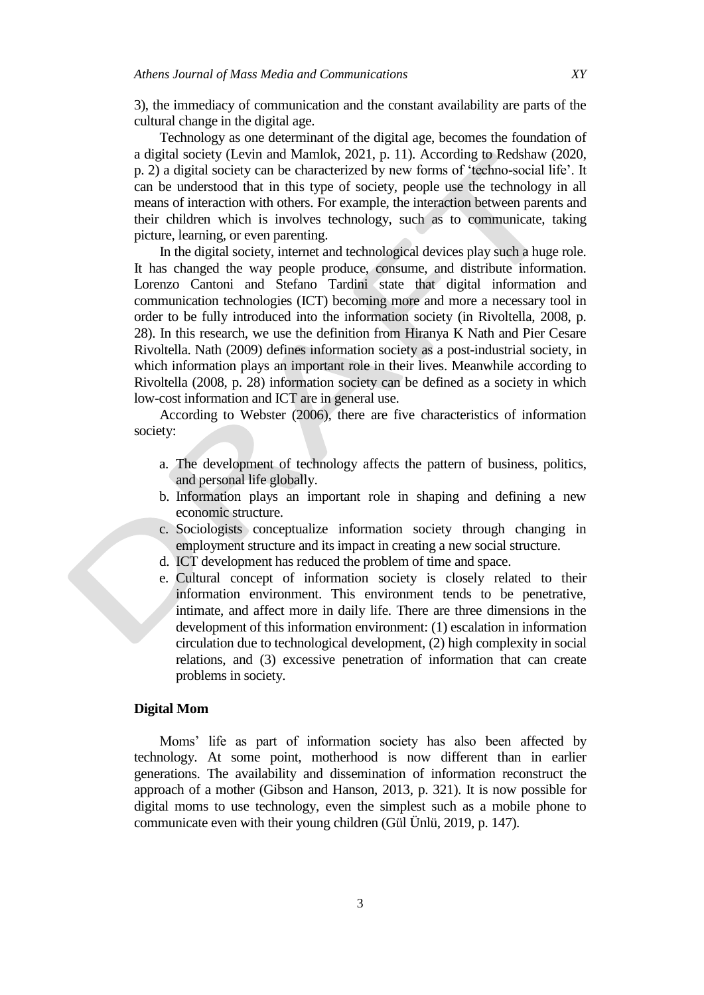3), the immediacy of communication and the constant availability are parts of the cultural change in the digital age.

Technology as one determinant of the digital age, becomes the foundation of a digital society (Levin and Mamlok, 2021, p. 11). According to Redshaw (2020, p. 2) a digital society can be characterized by new forms of "techno-social life". It can be understood that in this type of society, people use the technology in all means of interaction with others. For example, the interaction between parents and their children which is involves technology, such as to communicate, taking picture, learning, or even parenting.

In the digital society, internet and technological devices play such a huge role. It has changed the way people produce, consume, and distribute information. Lorenzo Cantoni and Stefano Tardini state that digital information and communication technologies (ICT) becoming more and more a necessary tool in order to be fully introduced into the information society (in Rivoltella, 2008, p. 28). In this research, we use the definition from Hiranya K Nath and Pier Cesare Rivoltella. Nath (2009) defines information society as a post-industrial society, in which information plays an important role in their lives. Meanwhile according to Rivoltella (2008, p. 28) information society can be defined as a society in which low-cost information and ICT are in general use.

According to Webster (2006), there are five characteristics of information society:

- a. The development of technology affects the pattern of business, politics, and personal life globally.
- b. Information plays an important role in shaping and defining a new economic structure.
- c. Sociologists conceptualize information society through changing in employment structure and its impact in creating a new social structure.
- d. ICT development has reduced the problem of time and space.
- e. Cultural concept of information society is closely related to their information environment. This environment tends to be penetrative, intimate, and affect more in daily life. There are three dimensions in the development of this information environment: (1) escalation in information circulation due to technological development, (2) high complexity in social relations, and (3) excessive penetration of information that can create problems in society.

## **Digital Mom**

Moms" life as part of information society has also been affected by technology. At some point, motherhood is now different than in earlier generations. The availability and dissemination of information reconstruct the approach of a mother (Gibson and Hanson, 2013, p. 321). It is now possible for digital moms to use technology, even the simplest such as a mobile phone to communicate even with their young children (Gül Ünlü, 2019, p. 147).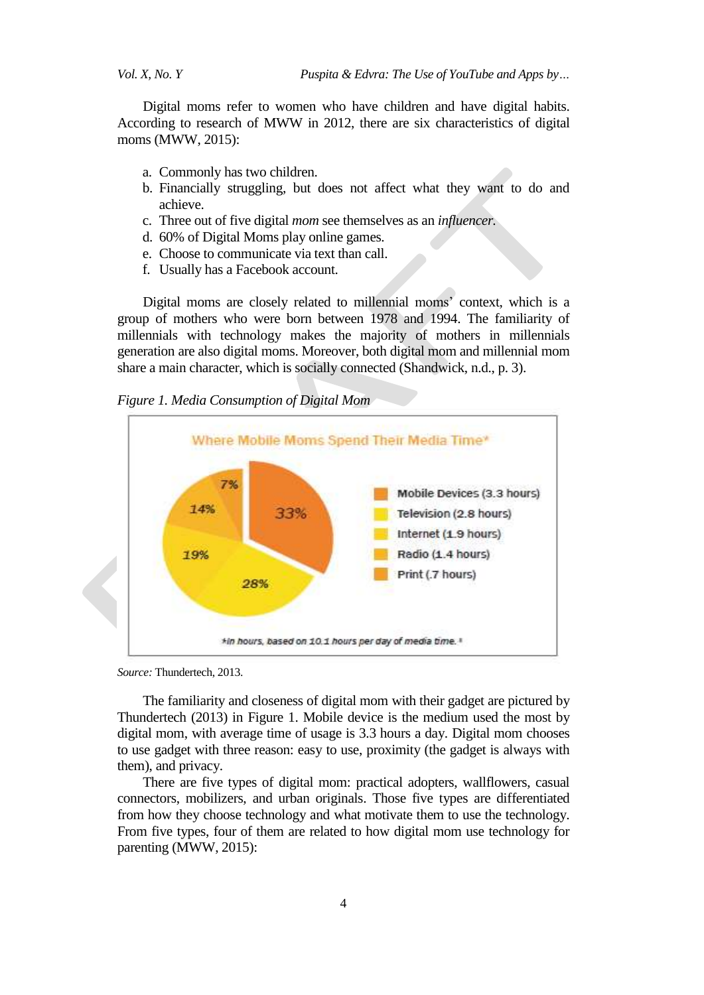Digital moms refer to women who have children and have digital habits. According to research of MWW in 2012, there are six characteristics of digital moms (MWW, 2015):

- a. Commonly has two children.
- b. Financially struggling, but does not affect what they want to do and achieve.
- c. Three out of five digital *mom* see themselves as an *influencer.*
- d. 60% of Digital Moms play online games.
- e. Choose to communicate via text than call.
- f. Usually has a Facebook account.

Digital moms are closely related to millennial moms" context, which is a group of mothers who were born between 1978 and 1994. The familiarity of millennials with technology makes the majority of mothers in millennials generation are also digital moms. Moreover, both digital mom and millennial mom share a main character, which is socially connected (Shandwick, n.d., p. 3).

## *Figure 1. Media Consumption of Digital Mom*



*Source:* Thundertech, 2013.

The familiarity and closeness of digital mom with their gadget are pictured by Thundertech (2013) in Figure 1. Mobile device is the medium used the most by digital mom, with average time of usage is 3.3 hours a day. Digital mom chooses to use gadget with three reason: easy to use, proximity (the gadget is always with them), and privacy.

There are five types of digital mom: practical adopters, wallflowers, casual connectors, mobilizers, and urban originals. Those five types are differentiated from how they choose technology and what motivate them to use the technology. From five types, four of them are related to how digital mom use technology for parenting (MWW, 2015):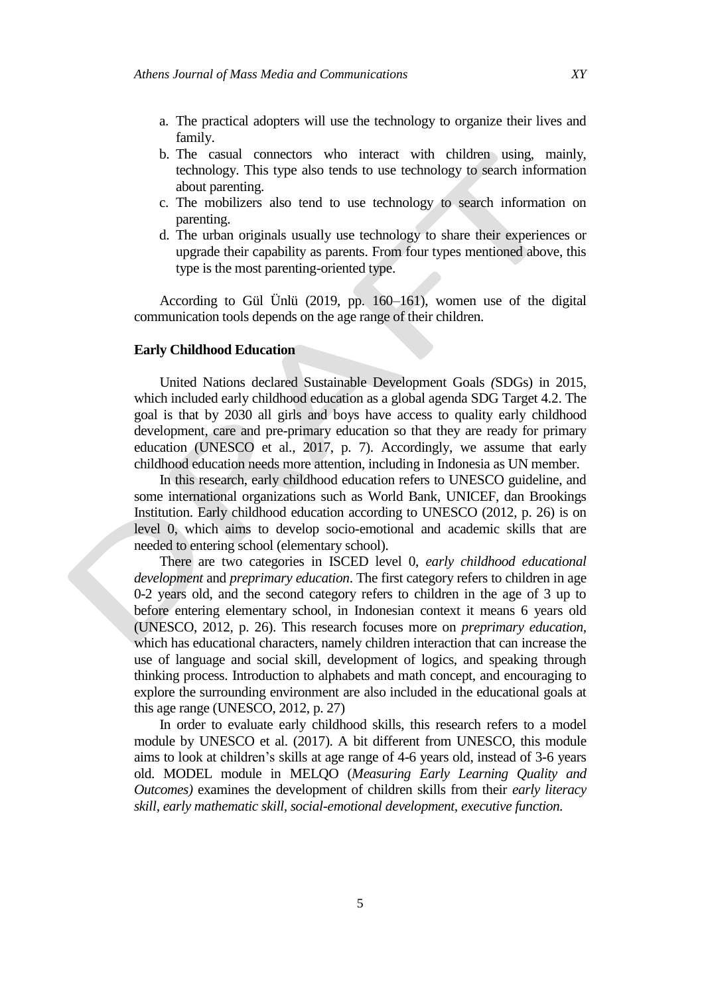- a. The practical adopters will use the technology to organize their lives and family.
- b. The casual connectors who interact with children using, mainly, technology. This type also tends to use technology to search information about parenting.
- c. The mobilizers also tend to use technology to search information on parenting.
- d. The urban originals usually use technology to share their experiences or upgrade their capability as parents. From four types mentioned above, this type is the most parenting-oriented type.

According to Gül Ünlü (2019, pp. 160–161), women use of the digital communication tools depends on the age range of their children.

## **Early Childhood Education**

United Nations declared Sustainable Development Goals *(*SDGs) in 2015, which included early childhood education as a global agenda SDG Target 4.2. The goal is that by 2030 all girls and boys have access to quality early childhood development, care and pre-primary education so that they are ready for primary education (UNESCO et al., 2017, p. 7). Accordingly, we assume that early childhood education needs more attention, including in Indonesia as UN member.

In this research, early childhood education refers to UNESCO guideline, and some international organizations such as World Bank, UNICEF, dan Brookings Institution. Early childhood education according to UNESCO (2012, p. 26) is on level 0, which aims to develop socio-emotional and academic skills that are needed to entering school (elementary school).

There are two categories in ISCED level 0, *early childhood educational development* and *preprimary education*. The first category refers to children in age 0-2 years old, and the second category refers to children in the age of 3 up to before entering elementary school, in Indonesian context it means 6 years old (UNESCO, 2012, p. 26). This research focuses more on *preprimary education,*  which has educational characters, namely children interaction that can increase the use of language and social skill, development of logics, and speaking through thinking process. Introduction to alphabets and math concept, and encouraging to explore the surrounding environment are also included in the educational goals at this age range (UNESCO, 2012, p. 27)

In order to evaluate early childhood skills, this research refers to a model module by UNESCO et al. (2017). A bit different from UNESCO, this module aims to look at children"s skills at age range of 4-6 years old, instead of 3-6 years old. MODEL module in MELQO (*Measuring Early Learning Quality and Outcomes)* examines the development of children skills from their *early literacy skill, early mathematic skill, social-emotional development, executive function.*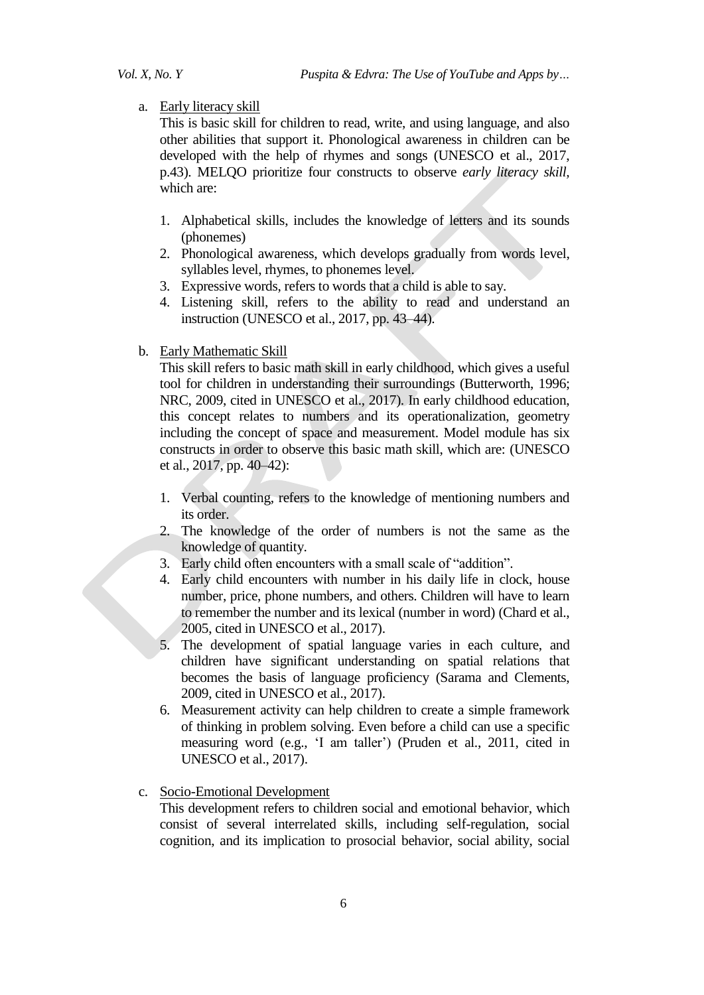## a. Early literacy skill

This is basic skill for children to read, write, and using language, and also other abilities that support it. Phonological awareness in children can be developed with the help of rhymes and songs (UNESCO et al., 2017, p.43). MELQO prioritize four constructs to observe *early literacy skill,*  which are:

- 1. Alphabetical skills, includes the knowledge of letters and its sounds (phonemes)
- 2. Phonological awareness, which develops gradually from words level, syllables level, rhymes, to phonemes level.
- 3. Expressive words, refers to words that a child is able to say.
- 4. Listening skill, refers to the ability to read and understand an instruction (UNESCO et al., 2017, pp. 43–44).
- b. Early Mathematic Skill

This skill refers to basic math skill in early childhood, which gives a useful tool for children in understanding their surroundings (Butterworth, 1996; NRC, 2009, cited in UNESCO et al., 2017). In early childhood education, this concept relates to numbers and its operationalization, geometry including the concept of space and measurement. Model module has six constructs in order to observe this basic math skill, which are: (UNESCO et al., 2017, pp. 40–42):

- 1. Verbal counting, refers to the knowledge of mentioning numbers and its order.
- 2. The knowledge of the order of numbers is not the same as the knowledge of quantity.
- 3. Early child often encounters with a small scale of "addition".
- 4. Early child encounters with number in his daily life in clock, house number, price, phone numbers, and others. Children will have to learn to remember the number and its lexical (number in word) (Chard et al., 2005, cited in UNESCO et al., 2017).
- 5. The development of spatial language varies in each culture, and children have significant understanding on spatial relations that becomes the basis of language proficiency (Sarama and Clements, 2009, cited in UNESCO et al., 2017).
- 6. Measurement activity can help children to create a simple framework of thinking in problem solving. Even before a child can use a specific measuring word (e.g., "I am taller") (Pruden et al., 2011, cited in UNESCO et al., 2017).
- c. Socio-Emotional Development

This development refers to children social and emotional behavior, which consist of several interrelated skills, including self-regulation, social cognition, and its implication to prosocial behavior, social ability, social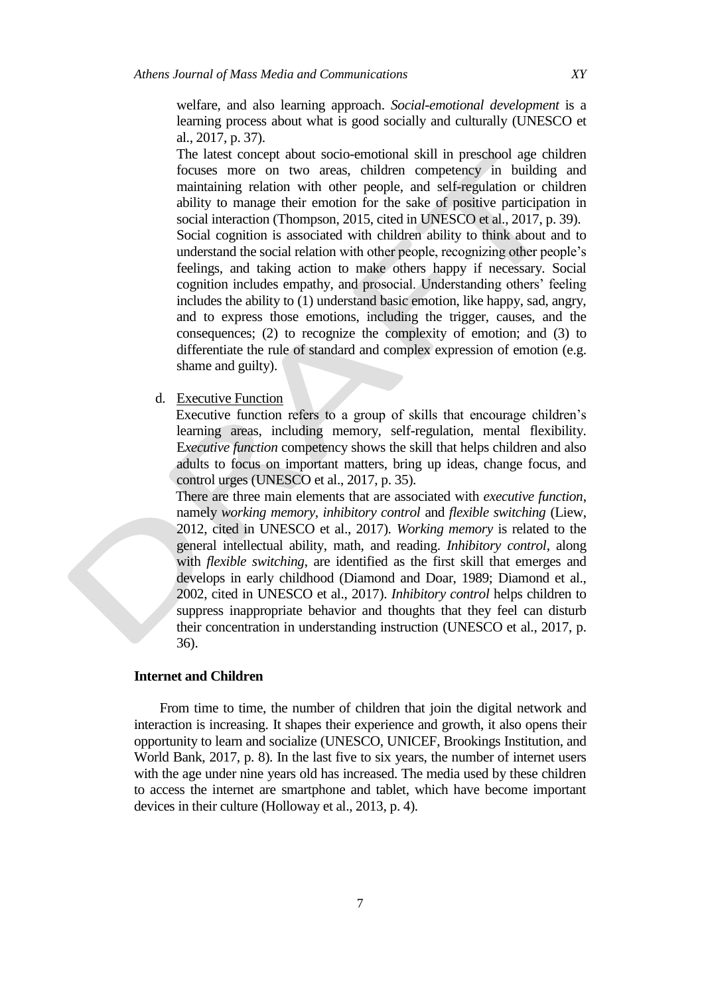welfare, and also learning approach. *Social*-*emotional development* is a learning process about what is good socially and culturally (UNESCO et al., 2017, p. 37).

The latest concept about socio-emotional skill in preschool age children focuses more on two areas, children competency in building and maintaining relation with other people, and self-regulation or children ability to manage their emotion for the sake of positive participation in social interaction (Thompson, 2015, cited in UNESCO et al., 2017, p. 39). Social cognition is associated with children ability to think about and to understand the social relation with other people, recognizing other people"s feelings, and taking action to make others happy if necessary. Social cognition includes empathy, and prosocial. Understanding others" feeling includes the ability to (1) understand basic emotion, like happy, sad, angry, and to express those emotions, including the trigger, causes, and the consequences; (2) to recognize the complexity of emotion; and (3) to differentiate the rule of standard and complex expression of emotion (e.g. shame and guilty).

d. Executive Function

Executive function refers to a group of skills that encourage children"s learning areas, including memory, self-regulation, mental flexibility. E*xecutive function* competency shows the skill that helps children and also adults to focus on important matters, bring up ideas, change focus, and control urges (UNESCO et al., 2017, p. 35).

There are three main elements that are associated with *executive function*, namely *working memory, inhibitory control* and *flexible switching* (Liew, 2012, cited in UNESCO et al., 2017). *Working memory* is related to the general intellectual ability, math, and reading. *Inhibitory control*, along with *flexible switching*, are identified as the first skill that emerges and develops in early childhood (Diamond and Doar, 1989; Diamond et al., 2002, cited in UNESCO et al., 2017). *Inhibitory control* helps children to suppress inappropriate behavior and thoughts that they feel can disturb their concentration in understanding instruction (UNESCO et al., 2017, p. 36).

## **Internet and Children**

From time to time, the number of children that join the digital network and interaction is increasing. It shapes their experience and growth, it also opens their opportunity to learn and socialize (UNESCO, UNICEF, Brookings Institution, and World Bank, 2017, p. 8). In the last five to six years, the number of internet users with the age under nine years old has increased. The media used by these children to access the internet are smartphone and tablet, which have become important devices in their culture (Holloway et al., 2013, p. 4).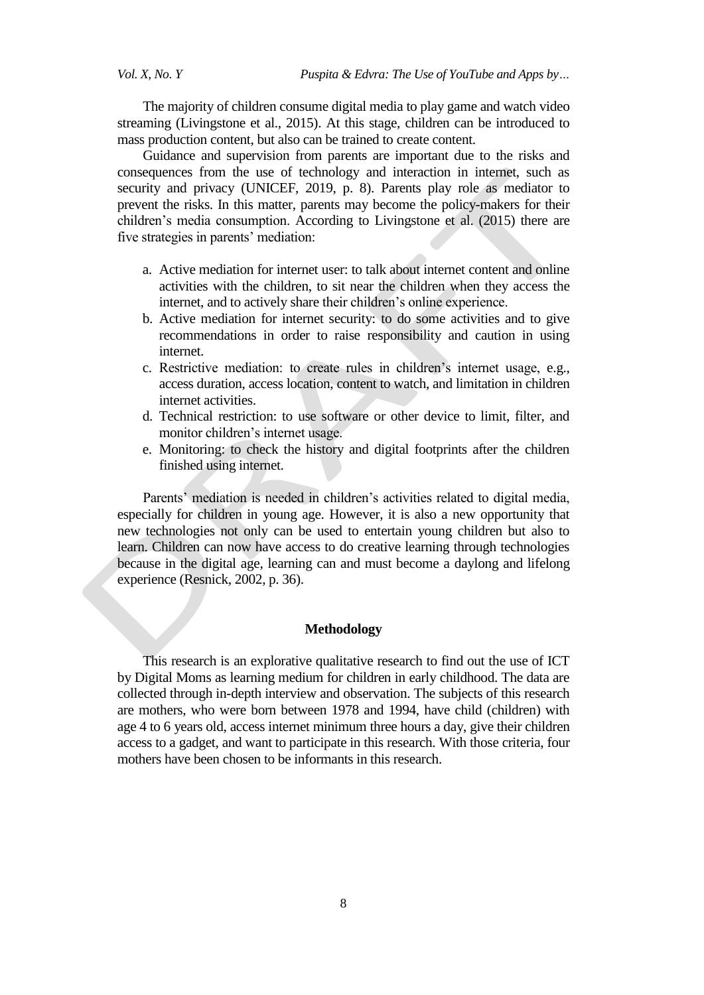The majority of children consume digital media to play game and watch video streaming (Livingstone et al., 2015). At this stage, children can be introduced to mass production content, but also can be trained to create content.

Guidance and supervision from parents are important due to the risks and consequences from the use of technology and interaction in internet, such as security and privacy (UNICEF, 2019, p. 8). Parents play role as mediator to prevent the risks. In this matter, parents may become the policy*-*makers for their children"s media consumption. According to Livingstone et al. (2015) there are five strategies in parents' mediation:

- a. Active mediation for internet user: to talk about internet content and online activities with the children, to sit near the children when they access the internet, and to actively share their children"s online experience.
- b. Active mediation for internet security: to do some activities and to give recommendations in order to raise responsibility and caution in using internet.
- c. Restrictive mediation: to create rules in children"s internet usage, e.g., access duration, access location, content to watch, and limitation in children internet activities.
- d. Technical restriction: to use software or other device to limit, filter, and monitor children"s internet usage.
- e. Monitoring: to check the history and digital footprints after the children finished using internet.

Parents' mediation is needed in children's activities related to digital media, especially for children in young age. However, it is also a new opportunity that new technologies not only can be used to entertain young children but also to learn. Children can now have access to do creative learning through technologies because in the digital age, learning can and must become a daylong and lifelong experience (Resnick, 2002, p. 36).

## **Methodology**

This research is an explorative qualitative research to find out the use of ICT by Digital Moms as learning medium for children in early childhood. The data are collected through in-depth interview and observation. The subjects of this research are mothers, who were born between 1978 and 1994, have child (children) with age 4 to 6 years old, access internet minimum three hours a day, give their children access to a gadget, and want to participate in this research. With those criteria, four mothers have been chosen to be informants in this research.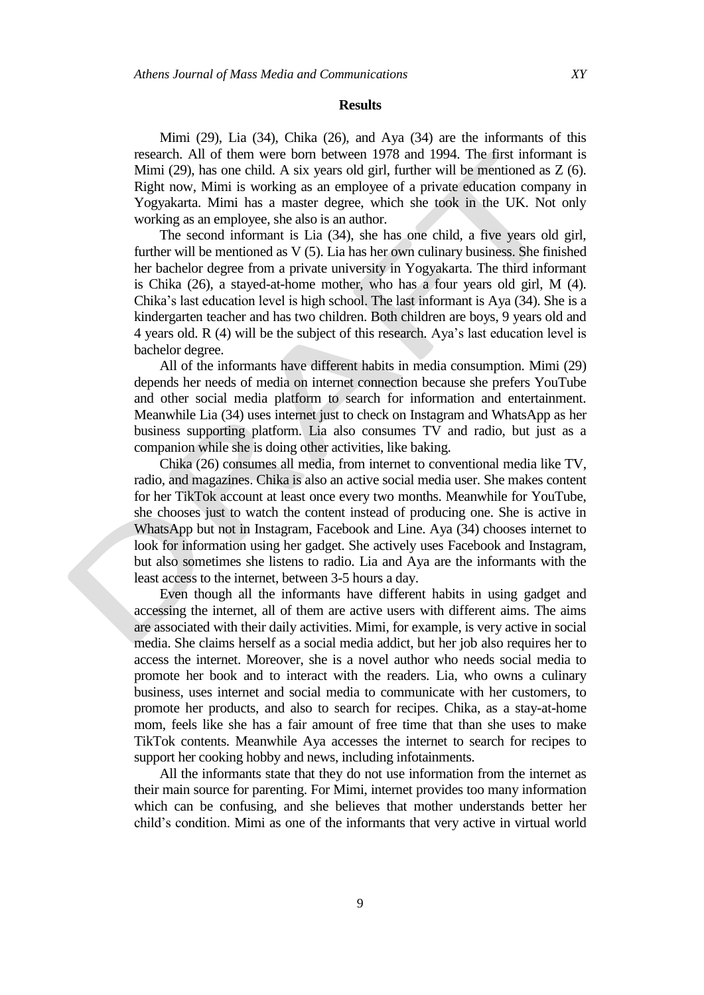# **Results**

Mimi (29), Lia (34), Chika (26), and Aya (34) are the informants of this research. All of them were born between 1978 and 1994. The first informant is Mimi (29), has one child. A six years old girl, further will be mentioned as Z (6). Right now, Mimi is working as an employee of a private education company in Yogyakarta. Mimi has a master degree, which she took in the UK. Not only working as an employee, she also is an author.

The second informant is Lia (34), she has one child, a five years old girl, further will be mentioned as V (5). Lia has her own culinary business. She finished her bachelor degree from a private university in Yogyakarta. The third informant is Chika (26), a stayed-at-home mother, who has a four years old girl, M (4). Chika"s last education level is high school. The last informant is Aya (34). She is a kindergarten teacher and has two children. Both children are boys, 9 years old and 4 years old. R (4) will be the subject of this research. Aya"s last education level is bachelor degree.

All of the informants have different habits in media consumption. Mimi (29) depends her needs of media on internet connection because she prefers YouTube and other social media platform to search for information and entertainment. Meanwhile Lia (34) uses internet just to check on Instagram and WhatsApp as her business supporting platform. Lia also consumes TV and radio, but just as a companion while she is doing other activities, like baking.

Chika (26) consumes all media, from internet to conventional media like TV, radio, and magazines. Chika is also an active social media user. She makes content for her TikTok account at least once every two months. Meanwhile for YouTube, she chooses just to watch the content instead of producing one. She is active in WhatsApp but not in Instagram, Facebook and Line. Aya (34) chooses internet to look for information using her gadget. She actively uses Facebook and Instagram, but also sometimes she listens to radio. Lia and Aya are the informants with the least access to the internet, between 3-5 hours a day.

Even though all the informants have different habits in using gadget and accessing the internet, all of them are active users with different aims. The aims are associated with their daily activities. Mimi, for example, is very active in social media. She claims herself as a social media addict, but her job also requires her to access the internet. Moreover, she is a novel author who needs social media to promote her book and to interact with the readers. Lia, who owns a culinary business, uses internet and social media to communicate with her customers, to promote her products, and also to search for recipes. Chika, as a stay-at-home mom, feels like she has a fair amount of free time that than she uses to make TikTok contents. Meanwhile Aya accesses the internet to search for recipes to support her cooking hobby and news, including infotainments.

All the informants state that they do not use information from the internet as their main source for parenting. For Mimi, internet provides too many information which can be confusing, and she believes that mother understands better her child"s condition. Mimi as one of the informants that very active in virtual world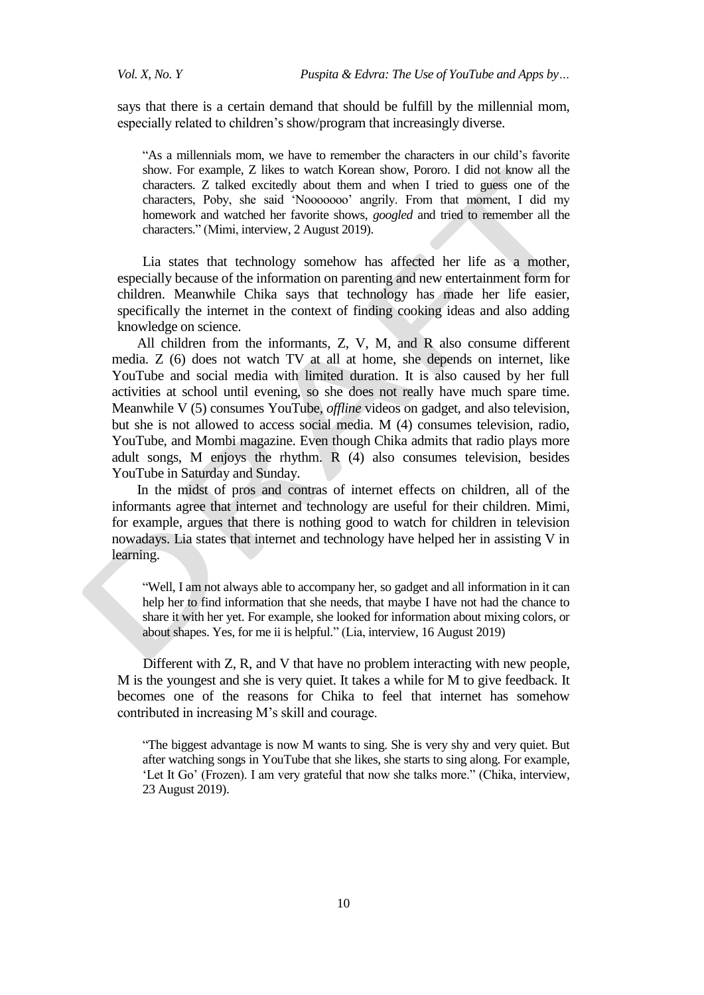says that there is a certain demand that should be fulfill by the millennial mom, especially related to children"s show/program that increasingly diverse.

"As a millennials mom, we have to remember the characters in our child"s favorite show. For example, Z likes to watch Korean show, Pororo. I did not know all the characters. Z talked excitedly about them and when I tried to guess one of the characters, Poby, she said "Nooooooo" angrily. From that moment, I did my homework and watched her favorite shows, *googled* and tried to remember all the characters." (Mimi, interview, 2 August 2019).

Lia states that technology somehow has affected her life as a mother, especially because of the information on parenting and new entertainment form for children. Meanwhile Chika says that technology has made her life easier, specifically the internet in the context of finding cooking ideas and also adding knowledge on science.

All children from the informants, Z, V, M, and R also consume different media. Z (6) does not watch TV at all at home, she depends on internet, like YouTube and social media with limited duration. It is also caused by her full activities at school until evening, so she does not really have much spare time. Meanwhile V (5) consumes YouTube, *offline* videos on gadget, and also television, but she is not allowed to access social media. M (4) consumes television, radio, YouTube, and Mombi magazine. Even though Chika admits that radio plays more adult songs, M enjoys the rhythm. R (4) also consumes television, besides YouTube in Saturday and Sunday.

In the midst of pros and contras of internet effects on children, all of the informants agree that internet and technology are useful for their children. Mimi, for example, argues that there is nothing good to watch for children in television nowadays. Lia states that internet and technology have helped her in assisting V in learning.

"Well, I am not always able to accompany her, so gadget and all information in it can help her to find information that she needs, that maybe I have not had the chance to share it with her yet. For example, she looked for information about mixing colors, or about shapes. Yes, for me ii is helpful." (Lia, interview, 16 August 2019)

Different with Z, R, and V that have no problem interacting with new people, M is the youngest and she is very quiet. It takes a while for M to give feedback. It becomes one of the reasons for Chika to feel that internet has somehow contributed in increasing M"s skill and courage.

"The biggest advantage is now M wants to sing. She is very shy and very quiet. But after watching songs in YouTube that she likes, she starts to sing along. For example, 'Let It Go' (Frozen). I am very grateful that now she talks more." (Chika, interview, 23 August 2019).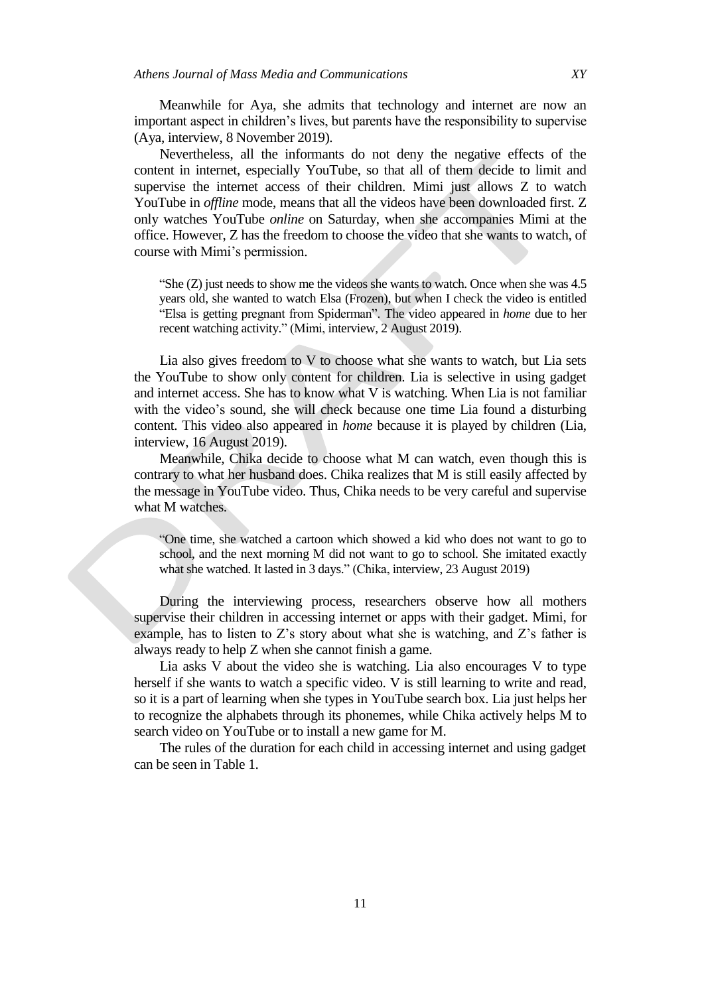Meanwhile for Aya, she admits that technology and internet are now an important aspect in children"s lives, but parents have the responsibility to supervise (Aya, interview, 8 November 2019).

Nevertheless, all the informants do not deny the negative effects of the content in internet, especially YouTube, so that all of them decide to limit and supervise the internet access of their children. Mimi just allows Z to watch YouTube in *offline* mode, means that all the videos have been downloaded first. Z only watches YouTube *online* on Saturday, when she accompanies Mimi at the office. However, Z has the freedom to choose the video that she wants to watch, of course with Mimi"s permission.

"She (Z) just needs to show me the videos she wants to watch. Once when she was 4.5 years old, she wanted to watch Elsa (Frozen), but when I check the video is entitled "Elsa is getting pregnant from Spiderman". The video appeared in *home* due to her recent watching activity." (Mimi, interview, 2 August 2019).

Lia also gives freedom to V to choose what she wants to watch, but Lia sets the YouTube to show only content for children. Lia is selective in using gadget and internet access. She has to know what V is watching. When Lia is not familiar with the video"s sound, she will check because one time Lia found a disturbing content. This video also appeared in *home* because it is played by children (Lia, interview, 16 August 2019).

Meanwhile, Chika decide to choose what M can watch, even though this is contrary to what her husband does. Chika realizes that M is still easily affected by the message in YouTube video. Thus, Chika needs to be very careful and supervise what M watches.

"One time, she watched a cartoon which showed a kid who does not want to go to school, and the next morning M did not want to go to school. She imitated exactly what she watched. It lasted in 3 days." (Chika, interview, 23 August 2019)

During the interviewing process, researchers observe how all mothers supervise their children in accessing internet or apps with their gadget. Mimi, for example, has to listen to Z's story about what she is watching, and Z's father is always ready to help Z when she cannot finish a game.

Lia asks V about the video she is watching. Lia also encourages V to type herself if she wants to watch a specific video. V is still learning to write and read, so it is a part of learning when she types in YouTube search box. Lia just helps her to recognize the alphabets through its phonemes, while Chika actively helps M to search video on YouTube or to install a new game for M.

The rules of the duration for each child in accessing internet and using gadget can be seen in Table 1.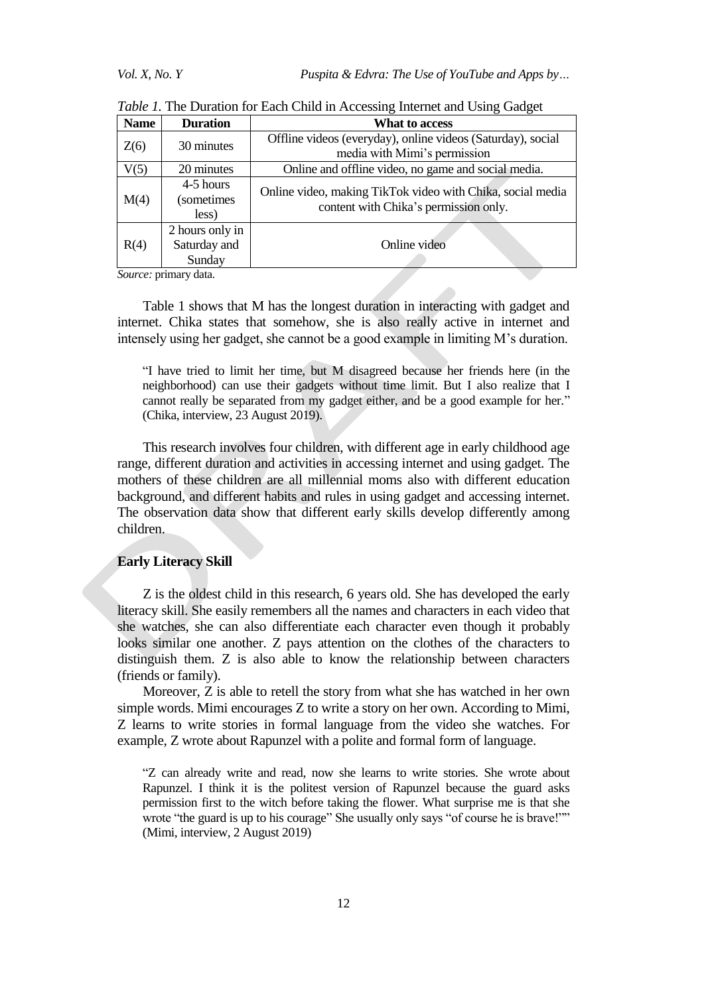| <b>Name</b> | <b>Duration</b>                           | What to access                                                                                      |
|-------------|-------------------------------------------|-----------------------------------------------------------------------------------------------------|
| Z(6)        | 30 minutes                                | Offline videos (everyday), online videos (Saturday), social<br>media with Mimi's permission         |
| V(5)        | 20 minutes                                | Online and offline video, no game and social media.                                                 |
| M(4)        | 4-5 hours<br>(sometimes<br>less)          | Online video, making TikTok video with Chika, social media<br>content with Chika's permission only. |
| R(4)        | 2 hours only in<br>Saturday and<br>Sunday | Online video                                                                                        |

*Table 1.* The Duration for Each Child in Accessing Internet and Using Gadget

*Source:* primary data.

Table 1 shows that M has the longest duration in interacting with gadget and internet. Chika states that somehow, she is also really active in internet and intensely using her gadget, she cannot be a good example in limiting M"s duration.

"I have tried to limit her time, but M disagreed because her friends here (in the neighborhood) can use their gadgets without time limit. But I also realize that I cannot really be separated from my gadget either, and be a good example for her." (Chika, interview, 23 August 2019).

This research involves four children, with different age in early childhood age range, different duration and activities in accessing internet and using gadget. The mothers of these children are all millennial moms also with different education background, and different habits and rules in using gadget and accessing internet. The observation data show that different early skills develop differently among children.

## **Early Literacy Skill**

Z is the oldest child in this research, 6 years old. She has developed the early literacy skill. She easily remembers all the names and characters in each video that she watches, she can also differentiate each character even though it probably looks similar one another. Z pays attention on the clothes of the characters to distinguish them. Z is also able to know the relationship between characters (friends or family).

Moreover, Z is able to retell the story from what she has watched in her own simple words. Mimi encourages Z to write a story on her own. According to Mimi, Z learns to write stories in formal language from the video she watches. For example, Z wrote about Rapunzel with a polite and formal form of language.

"Z can already write and read, now she learns to write stories. She wrote about Rapunzel. I think it is the politest version of Rapunzel because the guard asks permission first to the witch before taking the flower. What surprise me is that she wrote "the guard is up to his courage" She usually only says "of course he is brave!"" (Mimi, interview, 2 August 2019)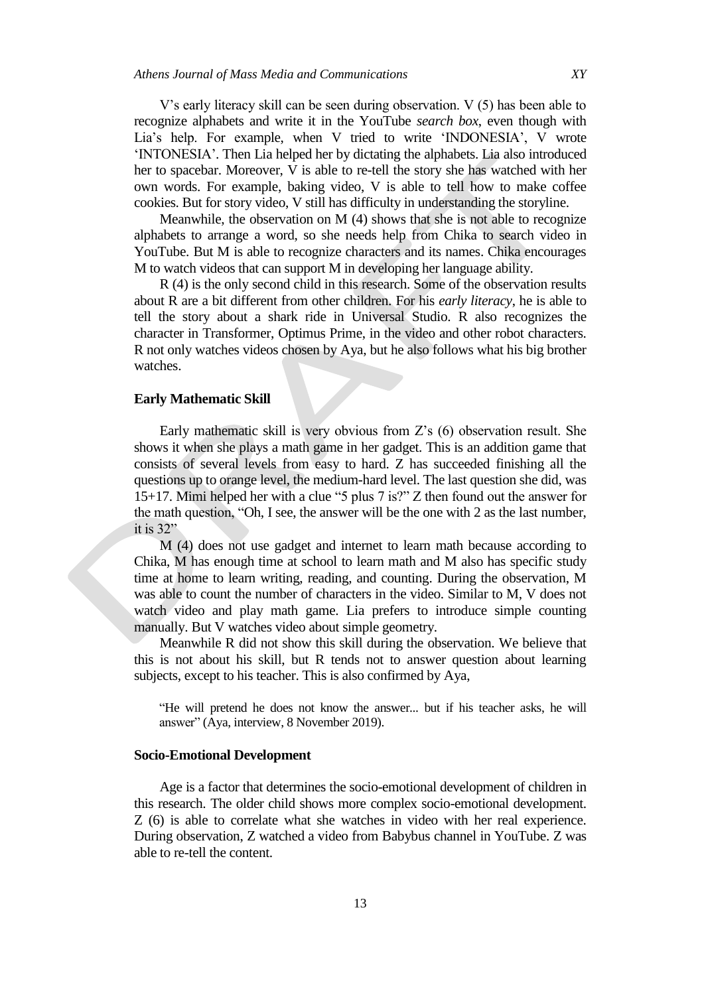V"s early literacy skill can be seen during observation. V (5) has been able to recognize alphabets and write it in the YouTube *search box*, even though with Lia's help. For example, when V tried to write 'INDONESIA', V wrote "INTONESIA". Then Lia helped her by dictating the alphabets. Lia also introduced her to spacebar. Moreover, V is able to re-tell the story she has watched with her own words. For example, baking video, V is able to tell how to make coffee cookies. But for story video, V still has difficulty in understanding the storyline.

Meanwhile, the observation on M (4) shows that she is not able to recognize alphabets to arrange a word, so she needs help from Chika to search video in YouTube. But M is able to recognize characters and its names. Chika encourages M to watch videos that can support M in developing her language ability.

R (4) is the only second child in this research. Some of the observation results about R are a bit different from other children. For his *early literacy*, he is able to tell the story about a shark ride in Universal Studio. R also recognizes the character in Transformer, Optimus Prime, in the video and other robot characters. R not only watches videos chosen by Aya, but he also follows what his big brother watches.

#### **Early Mathematic Skill**

Early mathematic skill is very obvious from Z"s (6) observation result. She shows it when she plays a math game in her gadget. This is an addition game that consists of several levels from easy to hard. Z has succeeded finishing all the questions up to orange level, the medium-hard level. The last question she did, was 15+17. Mimi helped her with a clue "5 plus 7 is?" Z then found out the answer for the math question, "Oh, I see, the answer will be the one with 2 as the last number, it is 32"

M (4) does not use gadget and internet to learn math because according to Chika, M has enough time at school to learn math and M also has specific study time at home to learn writing, reading, and counting. During the observation, M was able to count the number of characters in the video. Similar to M, V does not watch video and play math game. Lia prefers to introduce simple counting manually. But V watches video about simple geometry.

Meanwhile R did not show this skill during the observation. We believe that this is not about his skill, but R tends not to answer question about learning subjects, except to his teacher. This is also confirmed by Aya,

"He will pretend he does not know the answer... but if his teacher asks, he will answer" (Aya, interview, 8 November 2019).

## **Socio-Emotional Development**

Age is a factor that determines the socio-emotional development of children in this research. The older child shows more complex socio-emotional development. Z (6) is able to correlate what she watches in video with her real experience. During observation, Z watched a video from Babybus channel in YouTube. Z was able to re-tell the content.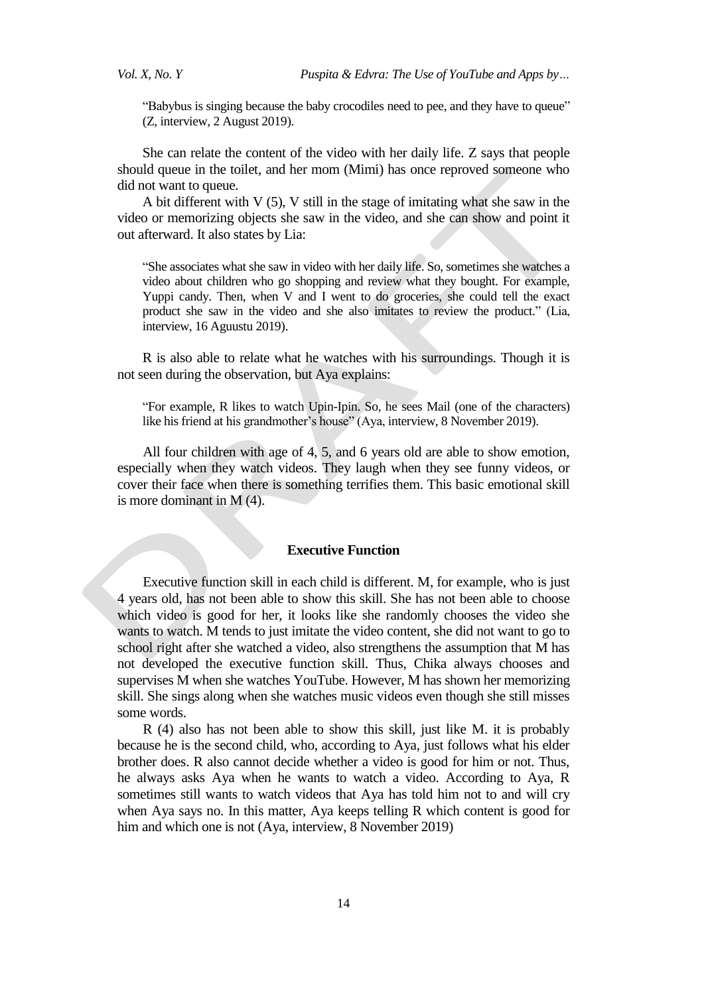"Babybus is singing because the baby crocodiles need to pee, and they have to queue" (Z, interview, 2 August 2019).

She can relate the content of the video with her daily life. Z says that people should queue in the toilet, and her mom (Mimi) has once reproved someone who did not want to queue.

A bit different with V (5), V still in the stage of imitating what she saw in the video or memorizing objects she saw in the video, and she can show and point it out afterward. It also states by Lia:

"She associates what she saw in video with her daily life. So, sometimes she watches a video about children who go shopping and review what they bought. For example, Yuppi candy. Then, when V and I went to do groceries, she could tell the exact product she saw in the video and she also imitates to review the product." (Lia, interview, 16 Aguustu 2019).

R is also able to relate what he watches with his surroundings. Though it is not seen during the observation, but Aya explains:

"For example, R likes to watch Upin-Ipin. So, he sees Mail (one of the characters) like his friend at his grandmother's house" (Aya, interview, 8 November 2019).

All four children with age of 4, 5, and 6 years old are able to show emotion, especially when they watch videos. They laugh when they see funny videos, or cover their face when there is something terrifies them. This basic emotional skill is more dominant in M (4).

#### **Executive Function**

Executive function skill in each child is different. M, for example, who is just 4 years old, has not been able to show this skill. She has not been able to choose which video is good for her, it looks like she randomly chooses the video she wants to watch. M tends to just imitate the video content, she did not want to go to school right after she watched a video, also strengthens the assumption that M has not developed the executive function skill. Thus, Chika always chooses and supervises M when she watches YouTube. However, M has shown her memorizing skill. She sings along when she watches music videos even though she still misses some words.

R (4) also has not been able to show this skill, just like M. it is probably because he is the second child, who, according to Aya, just follows what his elder brother does. R also cannot decide whether a video is good for him or not. Thus, he always asks Aya when he wants to watch a video. According to Aya, R sometimes still wants to watch videos that Aya has told him not to and will cry when Aya says no. In this matter, Aya keeps telling R which content is good for him and which one is not (Aya, interview, 8 November 2019)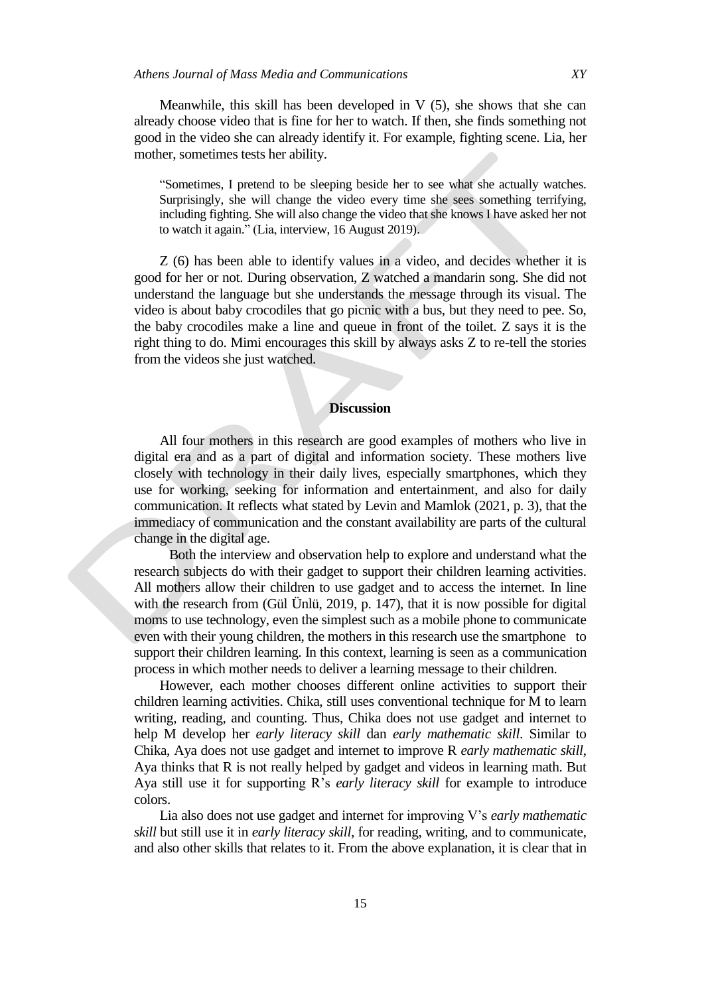Meanwhile, this skill has been developed in  $V(5)$ , she shows that she can already choose video that is fine for her to watch. If then, she finds something not good in the video she can already identify it. For example, fighting scene. Lia, her mother, sometimes tests her ability.

"Sometimes, I pretend to be sleeping beside her to see what she actually watches. Surprisingly, she will change the video every time she sees something terrifying, including fighting. She will also change the video that she knows I have asked her not to watch it again." (Lia, interview, 16 August 2019).

Z (6) has been able to identify values in a video, and decides whether it is good for her or not. During observation, Z watched a mandarin song. She did not understand the language but she understands the message through its visual. The video is about baby crocodiles that go picnic with a bus, but they need to pee. So, the baby crocodiles make a line and queue in front of the toilet. Z says it is the right thing to do. Mimi encourages this skill by always asks Z to re-tell the stories from the videos she just watched.

## **Discussion**

All four mothers in this research are good examples of mothers who live in digital era and as a part of digital and information society. These mothers live closely with technology in their daily lives, especially smartphones, which they use for working, seeking for information and entertainment, and also for daily communication. It reflects what stated by Levin and Mamlok (2021, p. 3), that the immediacy of communication and the constant availability are parts of the cultural change in the digital age.

 Both the interview and observation help to explore and understand what the research subjects do with their gadget to support their children learning activities. All mothers allow their children to use gadget and to access the internet. In line with the research from (Gül Ünlü, 2019, p. 147), that it is now possible for digital moms to use technology, even the simplest such as a mobile phone to communicate even with their young children, the mothers in this research use the smartphone to support their children learning. In this context, learning is seen as a communication process in which mother needs to deliver a learning message to their children.

However, each mother chooses different online activities to support their children learning activities. Chika, still uses conventional technique for M to learn writing, reading, and counting. Thus, Chika does not use gadget and internet to help M develop her *early literacy skill* dan *early mathematic skill*. Similar to Chika, Aya does not use gadget and internet to improve R *early mathematic skill*, Aya thinks that R is not really helped by gadget and videos in learning math. But Aya still use it for supporting R"s *early literacy skill* for example to introduce colors.

Lia also does not use gadget and internet for improving V"s *early mathematic skill* but still use it in *early literacy skill*, for reading, writing, and to communicate, and also other skills that relates to it. From the above explanation, it is clear that in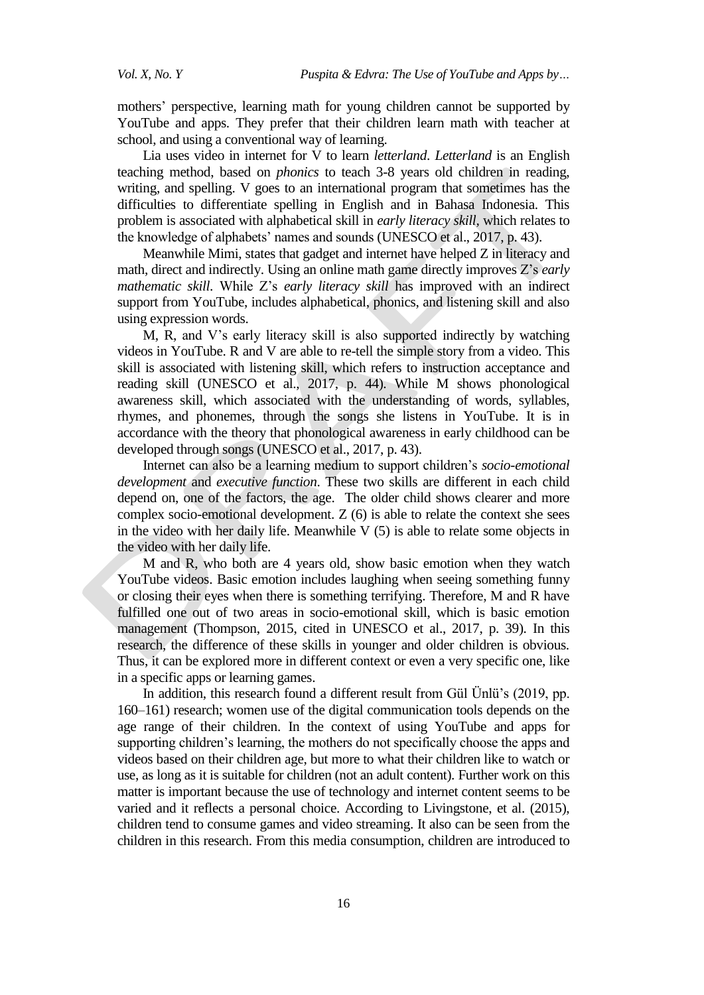mothers" perspective, learning math for young children cannot be supported by YouTube and apps. They prefer that their children learn math with teacher at school, and using a conventional way of learning.

Lia uses video in internet for V to learn *letterland*. *Letterland* is an English teaching method, based on *phonics* to teach 3-8 years old children in reading, writing, and spelling. V goes to an international program that sometimes has the difficulties to differentiate spelling in English and in Bahasa Indonesia. This problem is associated with alphabetical skill in *early literacy skill,* which relates to the knowledge of alphabets" names and sounds (UNESCO et al., 2017, p. 43).

Meanwhile Mimi, states that gadget and internet have helped Z in literacy and math, direct and indirectly. Using an online math game directly improves Z"s *early mathematic skill*. While Z"s *early literacy skill* has improved with an indirect support from YouTube, includes alphabetical, phonics, and listening skill and also using expression words.

M, R, and V"s early literacy skill is also supported indirectly by watching videos in YouTube. R and V are able to re-tell the simple story from a video. This skill is associated with listening skill, which refers to instruction acceptance and reading skill (UNESCO et al., 2017, p. 44). While M shows phonological awareness skill, which associated with the understanding of words, syllables, rhymes, and phonemes, through the songs she listens in YouTube. It is in accordance with the theory that phonological awareness in early childhood can be developed through songs (UNESCO et al., 2017, p. 43).

Internet can also be a learning medium to support children"s *socio-emotional development* and *executive function*. These two skills are different in each child depend on, one of the factors, the age. The older child shows clearer and more complex socio-emotional development.  $Z(6)$  is able to relate the context she sees in the video with her daily life. Meanwhile  $V(5)$  is able to relate some objects in the video with her daily life.

M and R, who both are 4 years old, show basic emotion when they watch YouTube videos. Basic emotion includes laughing when seeing something funny or closing their eyes when there is something terrifying. Therefore, M and R have fulfilled one out of two areas in socio-emotional skill, which is basic emotion management (Thompson, 2015, cited in UNESCO et al., 2017, p. 39). In this research, the difference of these skills in younger and older children is obvious. Thus, it can be explored more in different context or even a very specific one, like in a specific apps or learning games.

In addition, this research found a different result from Gül Ünlü"s (2019, pp. 160–161) research; women use of the digital communication tools depends on the age range of their children. In the context of using YouTube and apps for supporting children's learning, the mothers do not specifically choose the apps and videos based on their children age, but more to what their children like to watch or use, as long as it is suitable for children (not an adult content). Further work on this matter is important because the use of technology and internet content seems to be varied and it reflects a personal choice. According to Livingstone, et al. (2015), children tend to consume games and video streaming. It also can be seen from the children in this research. From this media consumption, children are introduced to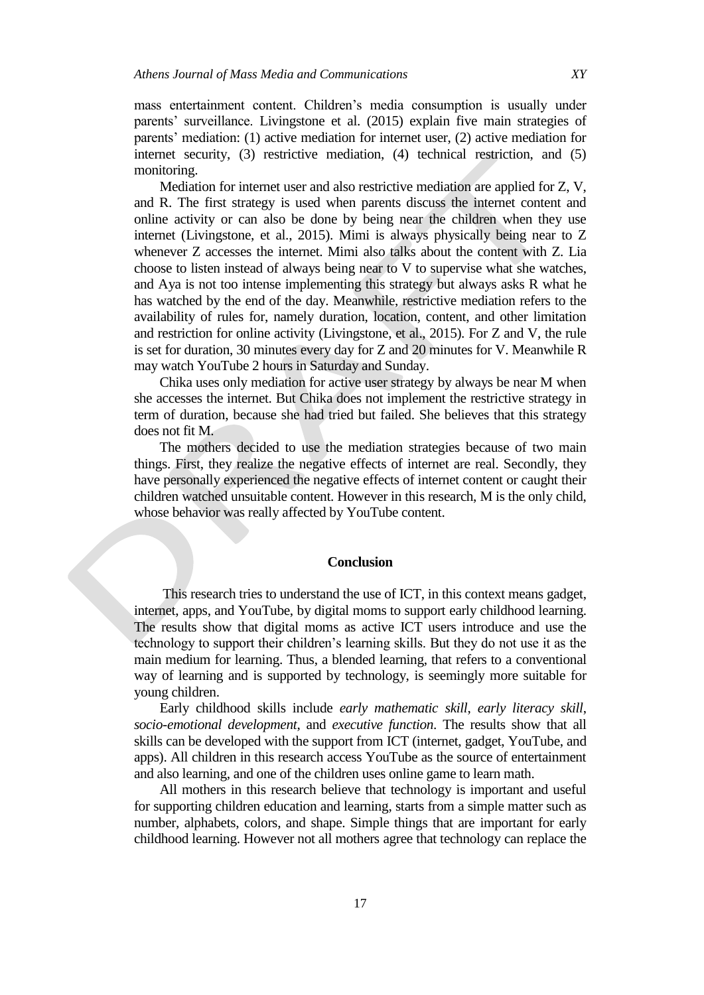mass entertainment content. Children"s media consumption is usually under parents' surveillance. Livingstone et al. (2015) explain five main strategies of parents' mediation: (1) active mediation for internet user, (2) active mediation for internet security, (3) restrictive mediation, (4) technical restriction, and (5) monitoring.

Mediation for internet user and also restrictive mediation are applied for Z, V, and R. The first strategy is used when parents discuss the internet content and online activity or can also be done by being near the children when they use internet (Livingstone, et al., 2015). Mimi is always physically being near to Z whenever Z accesses the internet. Mimi also talks about the content with Z. Lia choose to listen instead of always being near to V to supervise what she watches, and Aya is not too intense implementing this strategy but always asks R what he has watched by the end of the day. Meanwhile, restrictive mediation refers to the availability of rules for, namely duration, location, content, and other limitation and restriction for online activity (Livingstone, et al., 2015). For Z and V, the rule is set for duration, 30 minutes every day for Z and 20 minutes for V. Meanwhile R may watch YouTube 2 hours in Saturday and Sunday.

Chika uses only mediation for active user strategy by always be near M when she accesses the internet. But Chika does not implement the restrictive strategy in term of duration, because she had tried but failed. She believes that this strategy does not fit M.

The mothers decided to use the mediation strategies because of two main things. First, they realize the negative effects of internet are real. Secondly, they have personally experienced the negative effects of internet content or caught their children watched unsuitable content. However in this research, M is the only child, whose behavior was really affected by YouTube content.

#### **Conclusion**

This research tries to understand the use of ICT, in this context means gadget, internet, apps, and YouTube, by digital moms to support early childhood learning. The results show that digital moms as active ICT users introduce and use the technology to support their children"s learning skills. But they do not use it as the main medium for learning. Thus, a blended learning, that refers to a conventional way of learning and is supported by technology, is seemingly more suitable for young children.

Early childhood skills include *early mathematic skill*, *early literacy skill*, *socio*-*emotional development*, and *executive function*. The results show that all skills can be developed with the support from ICT (internet, gadget, YouTube, and apps). All children in this research access YouTube as the source of entertainment and also learning, and one of the children uses online game to learn math.

All mothers in this research believe that technology is important and useful for supporting children education and learning, starts from a simple matter such as number, alphabets, colors, and shape. Simple things that are important for early childhood learning. However not all mothers agree that technology can replace the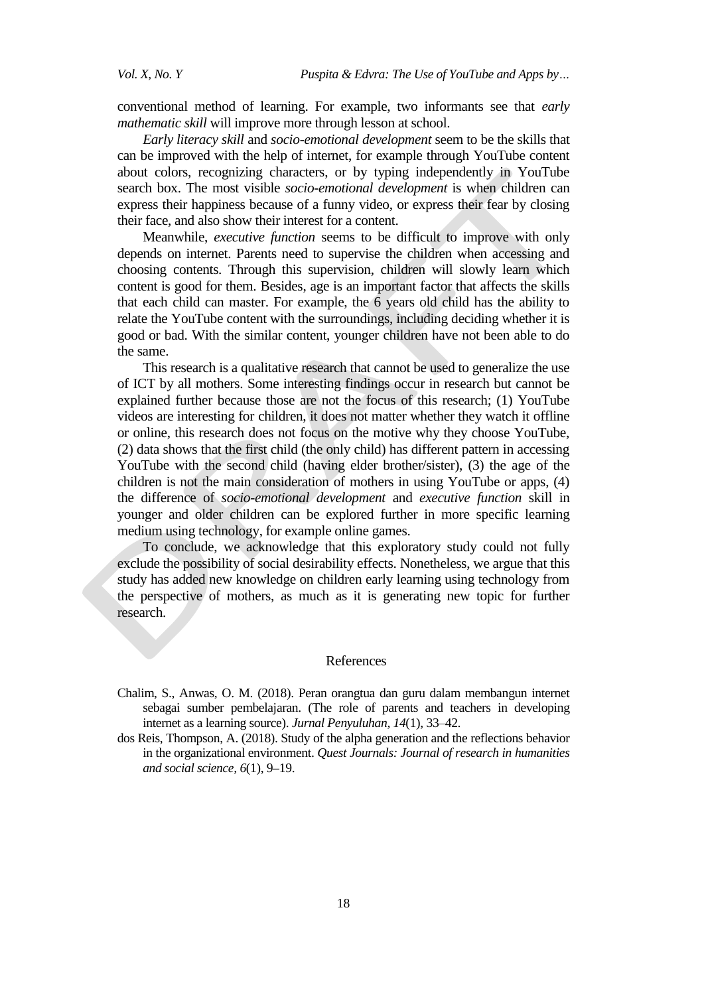conventional method of learning. For example, two informants see that *early mathematic skill* will improve more through lesson at school.

*Early literacy skill* and *socio-emotional development* seem to be the skills that can be improved with the help of internet, for example through YouTube content about colors, recognizing characters, or by typing independently in YouTube search box. The most visible *socio-emotional development* is when children can express their happiness because of a funny video, or express their fear by closing their face, and also show their interest for a content.

Meanwhile, *executive function* seems to be difficult to improve with only depends on internet. Parents need to supervise the children when accessing and choosing contents. Through this supervision, children will slowly learn which content is good for them. Besides, age is an important factor that affects the skills that each child can master. For example, the 6 years old child has the ability to relate the YouTube content with the surroundings, including deciding whether it is good or bad. With the similar content, younger children have not been able to do the same.

This research is a qualitative research that cannot be used to generalize the use of ICT by all mothers. Some interesting findings occur in research but cannot be explained further because those are not the focus of this research; (1) YouTube videos are interesting for children, it does not matter whether they watch it offline or online, this research does not focus on the motive why they choose YouTube, (2) data shows that the first child (the only child) has different pattern in accessing YouTube with the second child (having elder brother/sister), (3) the age of the children is not the main consideration of mothers in using YouTube or apps, (4) the difference of *socio-emotional development* and *executive function* skill in younger and older children can be explored further in more specific learning medium using technology, for example online games.

To conclude, we acknowledge that this exploratory study could not fully exclude the possibility of social desirability effects. Nonetheless, we argue that this study has added new knowledge on children early learning using technology from the perspective of mothers, as much as it is generating new topic for further research.

#### References

- Chalim, S., Anwas, O. M. (2018). Peran orangtua dan guru dalam membangun internet sebagai sumber pembelajaran. (The role of parents and teachers in developing internet as a learning source). *Jurnal Penyuluhan*, *14*(1), 33–42.
- dos Reis, Thompson, A. (2018). Study of the alpha generation and the reflections behavior in the organizational environment. *Quest Journals: Journal of research in humanities and social science, 6*(1), 9**–**19.